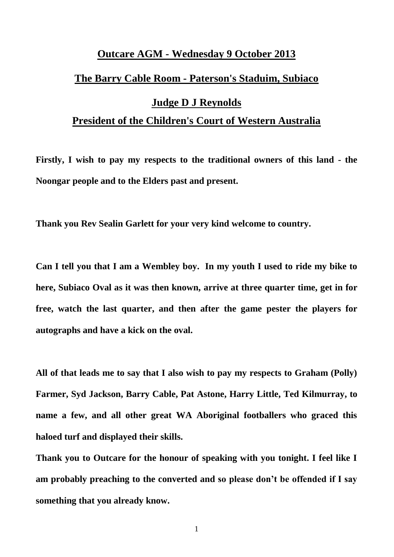# **Outcare AGM - Wednesday 9 October 2013 The Barry Cable Room - Paterson's Staduim, Subiaco Judge D J Reynolds President of the Children's Court of Western Australia**

**Firstly, I wish to pay my respects to the traditional owners of this land - the Noongar people and to the Elders past and present.** 

**Thank you Rev Sealin Garlett for your very kind welcome to country.** 

**Can I tell you that I am a Wembley boy. In my youth I used to ride my bike to here, Subiaco Oval as it was then known, arrive at three quarter time, get in for free, watch the last quarter, and then after the game pester the players for autographs and have a kick on the oval.** 

**All of that leads me to say that I also wish to pay my respects to Graham (Polly) Farmer, Syd Jackson, Barry Cable, Pat Astone, Harry Little, Ted Kilmurray, to name a few, and all other great WA Aboriginal footballers who graced this haloed turf and displayed their skills.** 

**Thank you to Outcare for the honour of speaking with you tonight. I feel like I am probably preaching to the converted and so please don't be offended if I say something that you already know.**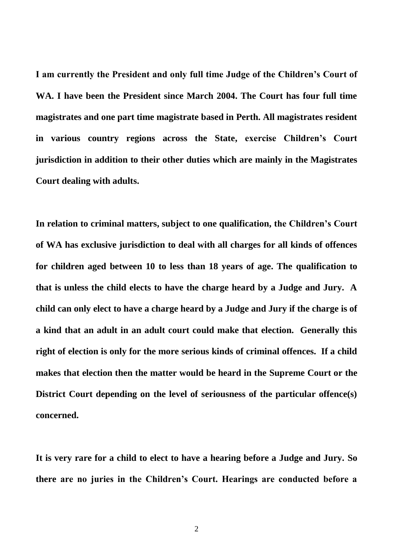**I am currently the President and only full time Judge of the Children's Court of WA. I have been the President since March 2004. The Court has four full time magistrates and one part time magistrate based in Perth. All magistrates resident in various country regions across the State, exercise Children's Court jurisdiction in addition to their other duties which are mainly in the Magistrates Court dealing with adults.** 

**In relation to criminal matters, subject to one qualification, the Children's Court of WA has exclusive jurisdiction to deal with all charges for all kinds of offences for children aged between 10 to less than 18 years of age. The qualification to that is unless the child elects to have the charge heard by a Judge and Jury. A child can only elect to have a charge heard by a Judge and Jury if the charge is of a kind that an adult in an adult court could make that election. Generally this right of election is only for the more serious kinds of criminal offences. If a child makes that election then the matter would be heard in the Supreme Court or the District Court depending on the level of seriousness of the particular offence(s) concerned.** 

**It is very rare for a child to elect to have a hearing before a Judge and Jury. So there are no juries in the Children's Court. Hearings are conducted before a**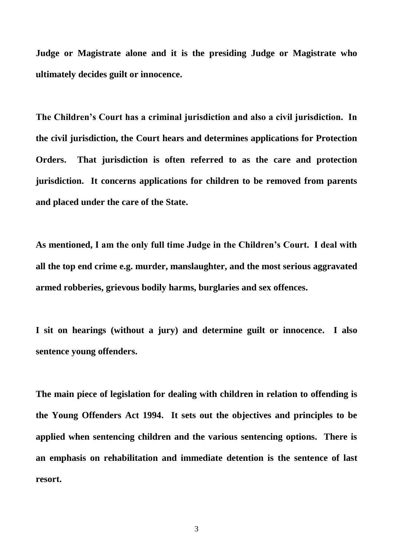**Judge or Magistrate alone and it is the presiding Judge or Magistrate who ultimately decides guilt or innocence.** 

**The Children's Court has a criminal jurisdiction and also a civil jurisdiction. In the civil jurisdiction, the Court hears and determines applications for Protection Orders. That jurisdiction is often referred to as the care and protection jurisdiction. It concerns applications for children to be removed from parents and placed under the care of the State.** 

**As mentioned, I am the only full time Judge in the Children's Court. I deal with all the top end crime e.g. murder, manslaughter, and the most serious aggravated armed robberies, grievous bodily harms, burglaries and sex offences.** 

**I sit on hearings (without a jury) and determine guilt or innocence. I also sentence young offenders.** 

**The main piece of legislation for dealing with children in relation to offending is the Young Offenders Act 1994. It sets out the objectives and principles to be applied when sentencing children and the various sentencing options. There is an emphasis on rehabilitation and immediate detention is the sentence of last resort.**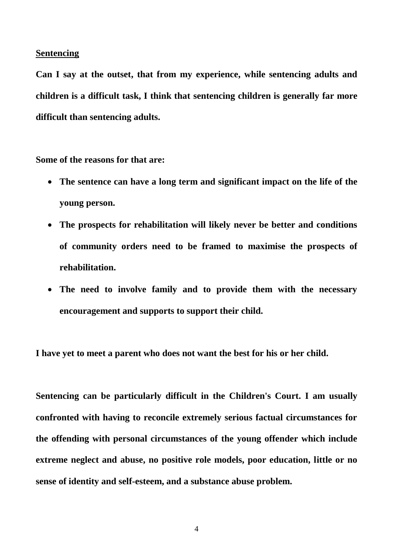#### **Sentencing**

**Can I say at the outset, that from my experience, while sentencing adults and children is a difficult task, I think that sentencing children is generally far more difficult than sentencing adults.** 

**Some of the reasons for that are:** 

- **The sentence can have a long term and significant impact on the life of the young person.**
- **The prospects for rehabilitation will likely never be better and conditions of community orders need to be framed to maximise the prospects of rehabilitation.**
- **The need to involve family and to provide them with the necessary encouragement and supports to support their child.**

**I have yet to meet a parent who does not want the best for his or her child.** 

**Sentencing can be particularly difficult in the Children's Court. I am usually confronted with having to reconcile extremely serious factual circumstances for the offending with personal circumstances of the young offender which include extreme neglect and abuse, no positive role models, poor education, little or no sense of identity and self-esteem, and a substance abuse problem.**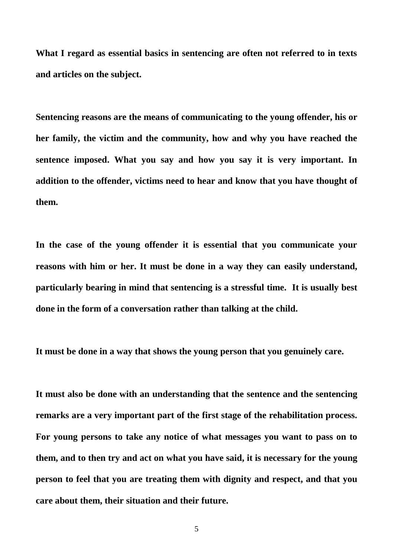**What I regard as essential basics in sentencing are often not referred to in texts and articles on the subject.** 

**Sentencing reasons are the means of communicating to the young offender, his or her family, the victim and the community, how and why you have reached the sentence imposed. What you say and how you say it is very important. In addition to the offender, victims need to hear and know that you have thought of them.** 

**In the case of the young offender it is essential that you communicate your reasons with him or her. It must be done in a way they can easily understand, particularly bearing in mind that sentencing is a stressful time. It is usually best done in the form of a conversation rather than talking at the child.** 

**It must be done in a way that shows the young person that you genuinely care.** 

**It must also be done with an understanding that the sentence and the sentencing remarks are a very important part of the first stage of the rehabilitation process. For young persons to take any notice of what messages you want to pass on to them, and to then try and act on what you have said, it is necessary for the young person to feel that you are treating them with dignity and respect, and that you care about them, their situation and their future.**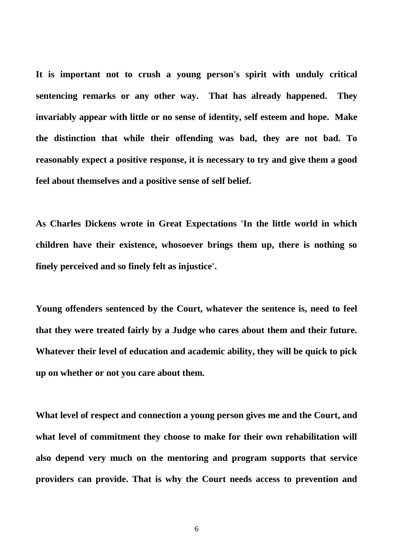**It is important not to crush a young person's spirit with unduly critical sentencing remarks or any other way. That has already happened. They invariably appear with little or no sense of identity, self esteem and hope. Make the distinction that while their offending was bad, they are not bad. To reasonably expect a positive response, it is necessary to try and give them a good feel about themselves and a positive sense of self belief.** 

**As Charles Dickens wrote in Great Expectations 'In the little world in which children have their existence, whosoever brings them up, there is nothing so finely perceived and so finely felt as injustice'.** 

**Young offenders sentenced by the Court, whatever the sentence is, need to feel that they were treated fairly by a Judge who cares about them and their future. Whatever their level of education and academic ability, they will be quick to pick up on whether or not you care about them.** 

**What level of respect and connection a young person gives me and the Court, and what level of commitment they choose to make for their own rehabilitation will also depend very much on the mentoring and program supports that service providers can provide. That is why the Court needs access to prevention and**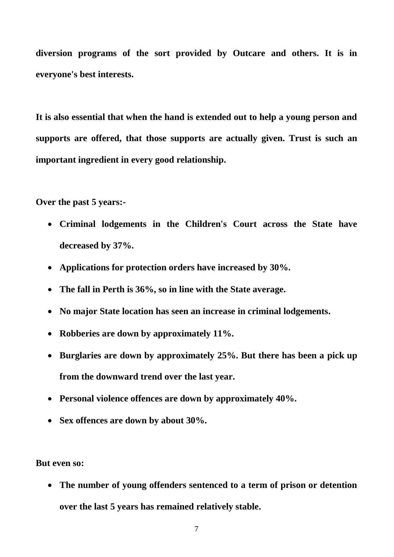**diversion programs of the sort provided by Outcare and others. It is in everyone's best interests.** 

**It is also essential that when the hand is extended out to help a young person and supports are offered, that those supports are actually given. Trust is such an important ingredient in every good relationship.** 

**Over the past 5 years:-**

- **Criminal lodgements in the Children's Court across the State have decreased by 37%.**
- **Applications for protection orders have increased by 30%.**
- **The fall in Perth is 36%, so in line with the State average.**
- **No major State location has seen an increase in criminal lodgements.**
- **Robberies are down by approximately 11%.**
- **Burglaries are down by approximately 25%. But there has been a pick up from the downward trend over the last year.**
- **Personal violence offences are down by approximately 40%.**
- **Sex offences are down by about 30%.**

**But even so:** 

 **The number of young offenders sentenced to a term of prison or detention over the last 5 years has remained relatively stable.**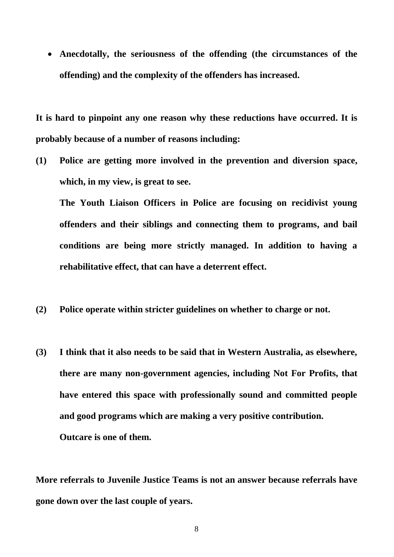**Anecdotally, the seriousness of the offending (the circumstances of the offending) and the complexity of the offenders has increased.** 

**It is hard to pinpoint any one reason why these reductions have occurred. It is probably because of a number of reasons including:** 

**(1) Police are getting more involved in the prevention and diversion space, which, in my view, is great to see.** 

**The Youth Liaison Officers in Police are focusing on recidivist young offenders and their siblings and connecting them to programs, and bail conditions are being more strictly managed. In addition to having a rehabilitative effect, that can have a deterrent effect.** 

- **(2) Police operate within stricter guidelines on whether to charge or not.**
- **(3) I think that it also needs to be said that in Western Australia, as elsewhere, there are many non-government agencies, including Not For Profits, that have entered this space with professionally sound and committed people and good programs which are making a very positive contribution. Outcare is one of them.**

**More referrals to Juvenile Justice Teams is not an answer because referrals have gone down over the last couple of years.**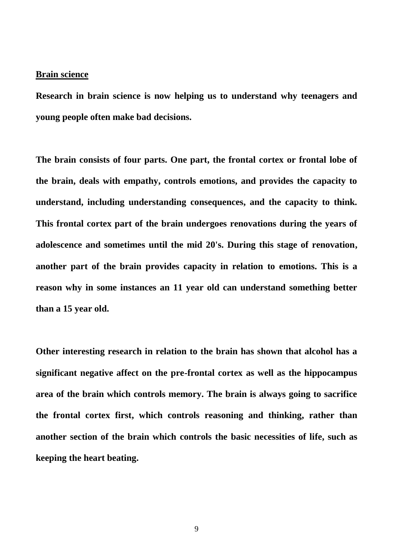#### **Brain science**

**Research in brain science is now helping us to understand why teenagers and young people often make bad decisions.** 

**The brain consists of four parts. One part, the frontal cortex or frontal lobe of the brain, deals with empathy, controls emotions, and provides the capacity to understand, including understanding consequences, and the capacity to think. This frontal cortex part of the brain undergoes renovations during the years of adolescence and sometimes until the mid 20's. During this stage of renovation, another part of the brain provides capacity in relation to emotions. This is a reason why in some instances an 11 year old can understand something better than a 15 year old.** 

**Other interesting research in relation to the brain has shown that alcohol has a significant negative affect on the pre-frontal cortex as well as the hippocampus area of the brain which controls memory. The brain is always going to sacrifice the frontal cortex first, which controls reasoning and thinking, rather than another section of the brain which controls the basic necessities of life, such as keeping the heart beating.**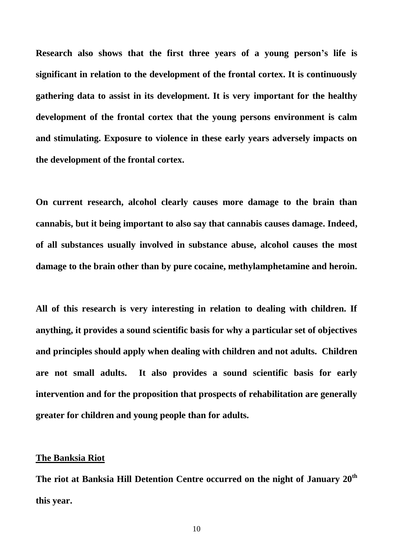**Research also shows that the first three years of a young person's life is significant in relation to the development of the frontal cortex. It is continuously gathering data to assist in its development. It is very important for the healthy development of the frontal cortex that the young persons environment is calm and stimulating. Exposure to violence in these early years adversely impacts on the development of the frontal cortex.** 

**On current research, alcohol clearly causes more damage to the brain than cannabis, but it being important to also say that cannabis causes damage. Indeed, of all substances usually involved in substance abuse, alcohol causes the most damage to the brain other than by pure cocaine, methylamphetamine and heroin.** 

**All of this research is very interesting in relation to dealing with children. If anything, it provides a sound scientific basis for why a particular set of objectives and principles should apply when dealing with children and not adults. Children are not small adults. It also provides a sound scientific basis for early intervention and for the proposition that prospects of rehabilitation are generally greater for children and young people than for adults.** 

#### **The Banksia Riot**

**The riot at Banksia Hill Detention Centre occurred on the night of January 20th this year.**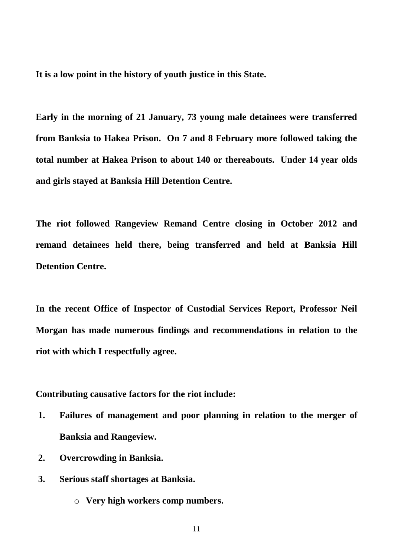**It is a low point in the history of youth justice in this State.** 

**Early in the morning of 21 January, 73 young male detainees were transferred from Banksia to Hakea Prison. On 7 and 8 February more followed taking the total number at Hakea Prison to about 140 or thereabouts. Under 14 year olds and girls stayed at Banksia Hill Detention Centre.** 

**The riot followed Rangeview Remand Centre closing in October 2012 and remand detainees held there, being transferred and held at Banksia Hill Detention Centre.** 

**In the recent Office of Inspector of Custodial Services Report, Professor Neil Morgan has made numerous findings and recommendations in relation to the riot with which I respectfully agree.** 

**Contributing causative factors for the riot include:** 

- **1. Failures of management and poor planning in relation to the merger of Banksia and Rangeview.**
- **2. Overcrowding in Banksia.**
- **3. Serious staff shortages at Banksia.**
	- o **Very high workers comp numbers.**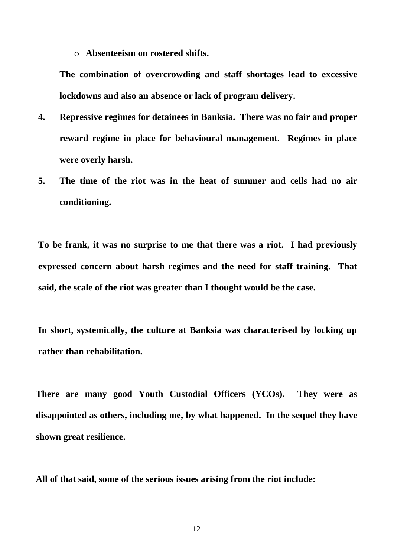o **Absenteeism on rostered shifts.**

**The combination of overcrowding and staff shortages lead to excessive lockdowns and also an absence or lack of program delivery.** 

- **4. Repressive regimes for detainees in Banksia. There was no fair and proper reward regime in place for behavioural management. Regimes in place were overly harsh.**
- **5. The time of the riot was in the heat of summer and cells had no air conditioning.**

**To be frank, it was no surprise to me that there was a riot. I had previously expressed concern about harsh regimes and the need for staff training. That said, the scale of the riot was greater than I thought would be the case.** 

**In short, systemically, the culture at Banksia was characterised by locking up rather than rehabilitation.** 

**There are many good Youth Custodial Officers (YCOs). They were as disappointed as others, including me, by what happened. In the sequel they have shown great resilience.** 

**All of that said, some of the serious issues arising from the riot include:**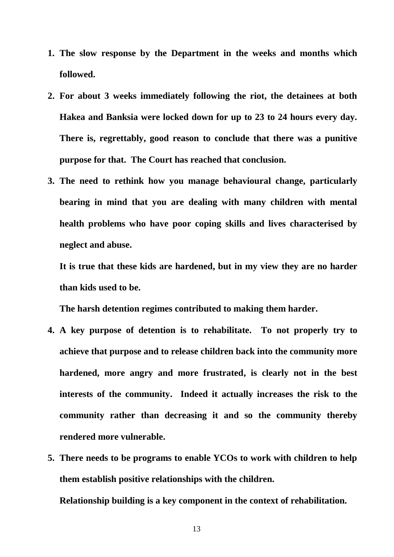- **1. The slow response by the Department in the weeks and months which followed.**
- **2. For about 3 weeks immediately following the riot, the detainees at both Hakea and Banksia were locked down for up to 23 to 24 hours every day. There is, regrettably, good reason to conclude that there was a punitive purpose for that. The Court has reached that conclusion.**
- **3. The need to rethink how you manage behavioural change, particularly bearing in mind that you are dealing with many children with mental health problems who have poor coping skills and lives characterised by neglect and abuse.**

**It is true that these kids are hardened, but in my view they are no harder than kids used to be.**

**The harsh detention regimes contributed to making them harder.** 

- **4. A key purpose of detention is to rehabilitate. To not properly try to achieve that purpose and to release children back into the community more hardened, more angry and more frustrated, is clearly not in the best interests of the community. Indeed it actually increases the risk to the community rather than decreasing it and so the community thereby rendered more vulnerable.**
- **5. There needs to be programs to enable YCOs to work with children to help them establish positive relationships with the children. Relationship building is a key component in the context of rehabilitation.**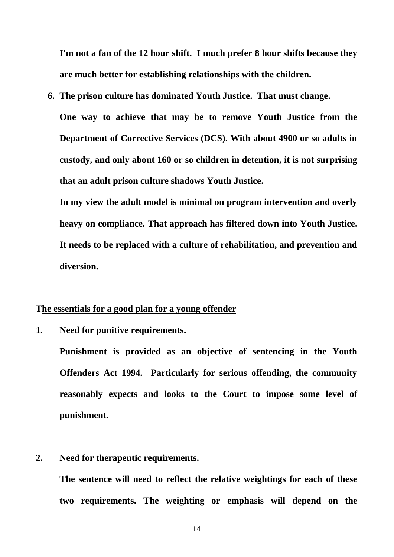**I'm not a fan of the 12 hour shift. I much prefer 8 hour shifts because they are much better for establishing relationships with the children.** 

**6. The prison culture has dominated Youth Justice. That must change. One way to achieve that may be to remove Youth Justice from the Department of Corrective Services (DCS). With about 4900 or so adults in custody, and only about 160 or so children in detention, it is not surprising that an adult prison culture shadows Youth Justice.** 

**In my view the adult model is minimal on program intervention and overly heavy on compliance. That approach has filtered down into Youth Justice. It needs to be replaced with a culture of rehabilitation, and prevention and diversion.** 

### **The essentials for a good plan for a young offender**

**1. Need for punitive requirements.**

**Punishment is provided as an objective of sentencing in the Youth Offenders Act 1994. Particularly for serious offending, the community reasonably expects and looks to the Court to impose some level of punishment.** 

# **2. Need for therapeutic requirements.**

**The sentence will need to reflect the relative weightings for each of these two requirements. The weighting or emphasis will depend on the**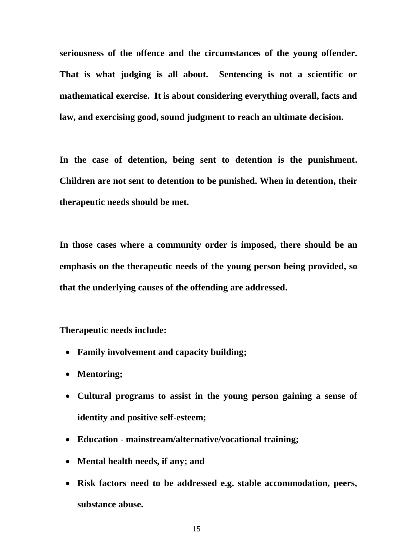**seriousness of the offence and the circumstances of the young offender. That is what judging is all about. Sentencing is not a scientific or mathematical exercise. It is about considering everything overall, facts and law, and exercising good, sound judgment to reach an ultimate decision.** 

**In the case of detention, being sent to detention is the punishment. Children are not sent to detention to be punished. When in detention, their therapeutic needs should be met.** 

**In those cases where a community order is imposed, there should be an emphasis on the therapeutic needs of the young person being provided, so that the underlying causes of the offending are addressed.** 

**Therapeutic needs include:** 

- **Family involvement and capacity building;**
- **Mentoring;**
- **Cultural programs to assist in the young person gaining a sense of identity and positive self-esteem;**
- **Education - mainstream/alternative/vocational training;**
- **Mental health needs, if any; and**
- **Risk factors need to be addressed e.g. stable accommodation, peers, substance abuse.**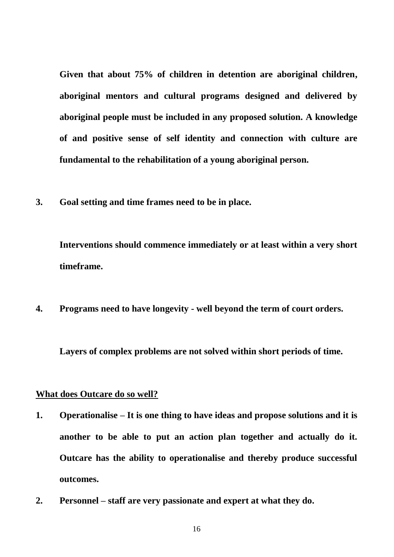**Given that about 75% of children in detention are aboriginal children, aboriginal mentors and cultural programs designed and delivered by aboriginal people must be included in any proposed solution. A knowledge of and positive sense of self identity and connection with culture are fundamental to the rehabilitation of a young aboriginal person.** 

**3. Goal setting and time frames need to be in place.** 

**Interventions should commence immediately or at least within a very short timeframe.** 

**4. Programs need to have longevity - well beyond the term of court orders.**

**Layers of complex problems are not solved within short periods of time.** 

## **What does Outcare do so well?**

- **1. Operationalise – It is one thing to have ideas and propose solutions and it is another to be able to put an action plan together and actually do it. Outcare has the ability to operationalise and thereby produce successful outcomes.**
- **2. Personnel – staff are very passionate and expert at what they do.**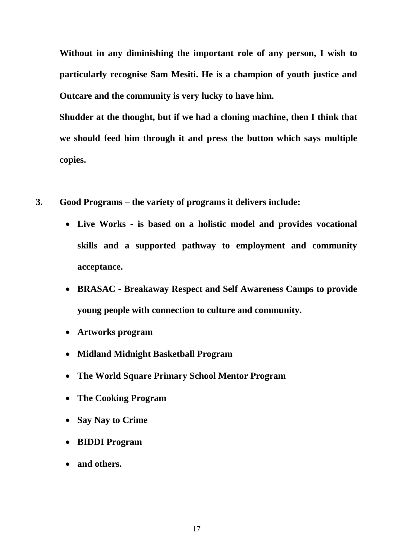**Without in any diminishing the important role of any person, I wish to particularly recognise Sam Mesiti. He is a champion of youth justice and Outcare and the community is very lucky to have him.** 

**Shudder at the thought, but if we had a cloning machine, then I think that we should feed him through it and press the button which says multiple copies.** 

- **3. Good Programs – the variety of programs it delivers include:** 
	- **Live Works - is based on a holistic model and provides vocational skills and a supported pathway to employment and community acceptance.**
	- **BRASAC - Breakaway Respect and Self Awareness Camps to provide young people with connection to culture and community.**
	- **Artworks program**
	- **Midland Midnight Basketball Program**
	- **The World Square Primary School Mentor Program**
	- **The Cooking Program**
	- **Say Nay to Crime**
	- **BIDDI Program**
	- **and others.**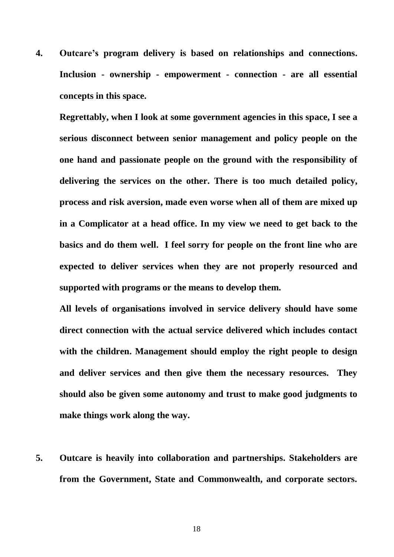**4. Outcare's program delivery is based on relationships and connections. Inclusion - ownership - empowerment - connection - are all essential concepts in this space.** 

**Regrettably, when I look at some government agencies in this space, I see a serious disconnect between senior management and policy people on the one hand and passionate people on the ground with the responsibility of delivering the services on the other. There is too much detailed policy, process and risk aversion, made even worse when all of them are mixed up in a Complicator at a head office. In my view we need to get back to the basics and do them well. I feel sorry for people on the front line who are expected to deliver services when they are not properly resourced and supported with programs or the means to develop them.** 

**All levels of organisations involved in service delivery should have some direct connection with the actual service delivered which includes contact with the children. Management should employ the right people to design and deliver services and then give them the necessary resources. They should also be given some autonomy and trust to make good judgments to make things work along the way.** 

**5. Outcare is heavily into collaboration and partnerships. Stakeholders are from the Government, State and Commonwealth, and corporate sectors.**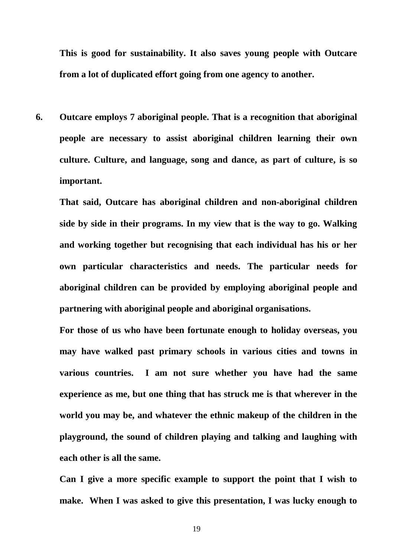**This is good for sustainability. It also saves young people with Outcare from a lot of duplicated effort going from one agency to another.** 

**6. Outcare employs 7 aboriginal people. That is a recognition that aboriginal people are necessary to assist aboriginal children learning their own culture. Culture, and language, song and dance, as part of culture, is so important.** 

**That said, Outcare has aboriginal children and non-aboriginal children side by side in their programs. In my view that is the way to go. Walking and working together but recognising that each individual has his or her own particular characteristics and needs. The particular needs for aboriginal children can be provided by employing aboriginal people and partnering with aboriginal people and aboriginal organisations.** 

**For those of us who have been fortunate enough to holiday overseas, you may have walked past primary schools in various cities and towns in various countries. I am not sure whether you have had the same experience as me, but one thing that has struck me is that wherever in the world you may be, and whatever the ethnic makeup of the children in the playground, the sound of children playing and talking and laughing with each other is all the same.** 

**Can I give a more specific example to support the point that I wish to make. When I was asked to give this presentation, I was lucky enough to**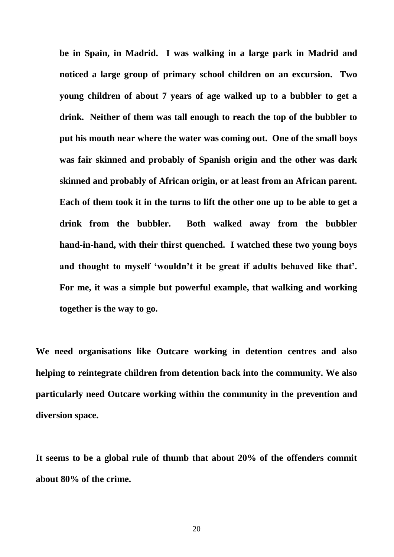**be in Spain, in Madrid. I was walking in a large park in Madrid and noticed a large group of primary school children on an excursion. Two young children of about 7 years of age walked up to a bubbler to get a drink. Neither of them was tall enough to reach the top of the bubbler to put his mouth near where the water was coming out. One of the small boys was fair skinned and probably of Spanish origin and the other was dark skinned and probably of African origin, or at least from an African parent. Each of them took it in the turns to lift the other one up to be able to get a drink from the bubbler. Both walked away from the bubbler hand-in-hand, with their thirst quenched. I watched these two young boys and thought to myself 'wouldn't it be great if adults behaved like that'. For me, it was a simple but powerful example, that walking and working together is the way to go.** 

**We need organisations like Outcare working in detention centres and also helping to reintegrate children from detention back into the community. We also particularly need Outcare working within the community in the prevention and diversion space.** 

**It seems to be a global rule of thumb that about 20% of the offenders commit about 80% of the crime.**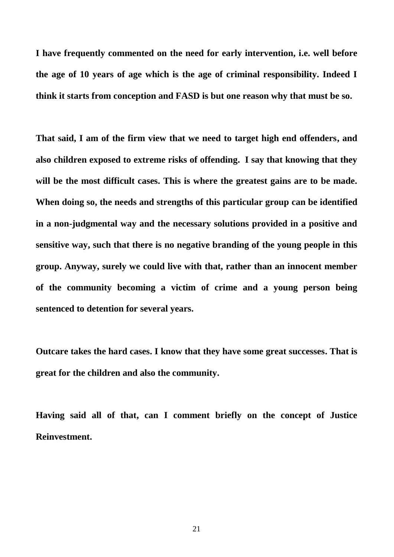**I have frequently commented on the need for early intervention, i.e. well before the age of 10 years of age which is the age of criminal responsibility. Indeed I think it starts from conception and FASD is but one reason why that must be so.** 

**That said, I am of the firm view that we need to target high end offenders, and also children exposed to extreme risks of offending. I say that knowing that they will be the most difficult cases. This is where the greatest gains are to be made. When doing so, the needs and strengths of this particular group can be identified in a non-judgmental way and the necessary solutions provided in a positive and sensitive way, such that there is no negative branding of the young people in this group. Anyway, surely we could live with that, rather than an innocent member of the community becoming a victim of crime and a young person being sentenced to detention for several years.** 

**Outcare takes the hard cases. I know that they have some great successes. That is great for the children and also the community.** 

**Having said all of that, can I comment briefly on the concept of Justice Reinvestment.**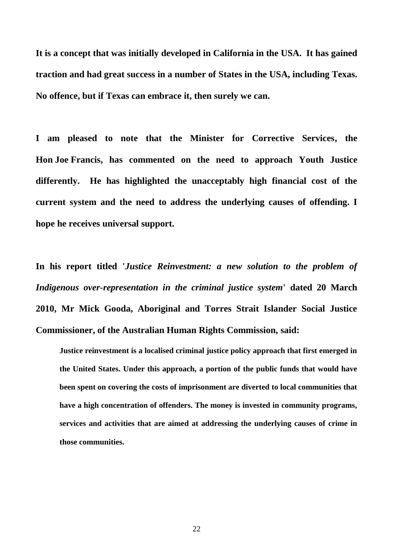**It is a concept that was initially developed in California in the USA. It has gained traction and had great success in a number of States in the USA, including Texas. No offence, but if Texas can embrace it, then surely we can.** 

**I am pleased to note that the Minister for Corrective Services, the Hon Joe Francis, has commented on the need to approach Youth Justice differently. He has highlighted the unacceptably high financial cost of the current system and the need to address the underlying causes of offending. I hope he receives universal support.** 

**In his report titled '***Justice Reinvestment: a new solution to the problem of Indigenous over-representation in the criminal justice system***' dated 20 March 2010, Mr Mick Gooda, Aboriginal and Torres Strait Islander Social Justice Commissioner, of the Australian Human Rights Commission, said:** 

**Justice reinvestment is a localised criminal justice policy approach that first emerged in the United States. Under this approach, a portion of the public funds that would have been spent on covering the costs of imprisonment are diverted to local communities that have a high concentration of offenders. The money is invested in community programs, services and activities that are aimed at addressing the underlying causes of crime in those communities.**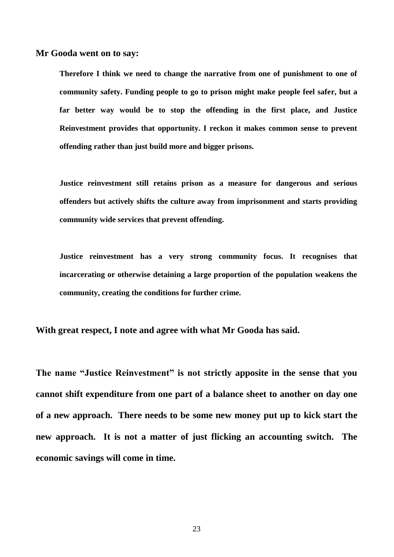**Mr Gooda went on to say:** 

**Therefore I think we need to change the narrative from one of punishment to one of community safety. Funding people to go to prison might make people feel safer, but a far better way would be to stop the offending in the first place, and Justice Reinvestment provides that opportunity. I reckon it makes common sense to prevent offending rather than just build more and bigger prisons.** 

**Justice reinvestment still retains prison as a measure for dangerous and serious offenders but actively shifts the culture away from imprisonment and starts providing community wide services that prevent offending.** 

**Justice reinvestment has a very strong community focus. It recognises that incarcerating or otherwise detaining a large proportion of the population weakens the community, creating the conditions for further crime.** 

**With great respect, I note and agree with what Mr Gooda has said.** 

**The name "Justice Reinvestment" is not strictly apposite in the sense that you cannot shift expenditure from one part of a balance sheet to another on day one of a new approach. There needs to be some new money put up to kick start the new approach. It is not a matter of just flicking an accounting switch. The economic savings will come in time.**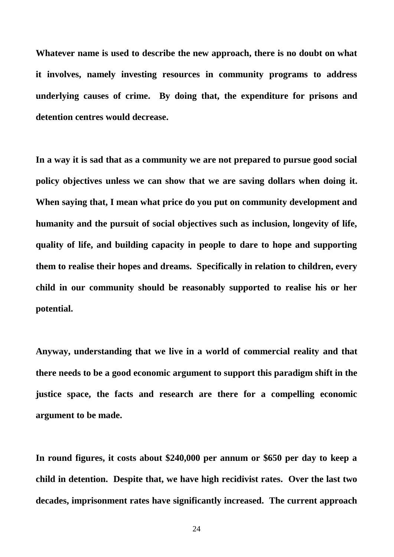**Whatever name is used to describe the new approach, there is no doubt on what it involves, namely investing resources in community programs to address underlying causes of crime. By doing that, the expenditure for prisons and detention centres would decrease.** 

**In a way it is sad that as a community we are not prepared to pursue good social policy objectives unless we can show that we are saving dollars when doing it. When saying that, I mean what price do you put on community development and humanity and the pursuit of social objectives such as inclusion, longevity of life, quality of life, and building capacity in people to dare to hope and supporting them to realise their hopes and dreams. Specifically in relation to children, every child in our community should be reasonably supported to realise his or her potential.** 

**Anyway, understanding that we live in a world of commercial reality and that there needs to be a good economic argument to support this paradigm shift in the justice space, the facts and research are there for a compelling economic argument to be made.** 

**In round figures, it costs about \$240,000 per annum or \$650 per day to keep a child in detention. Despite that, we have high recidivist rates. Over the last two decades, imprisonment rates have significantly increased. The current approach**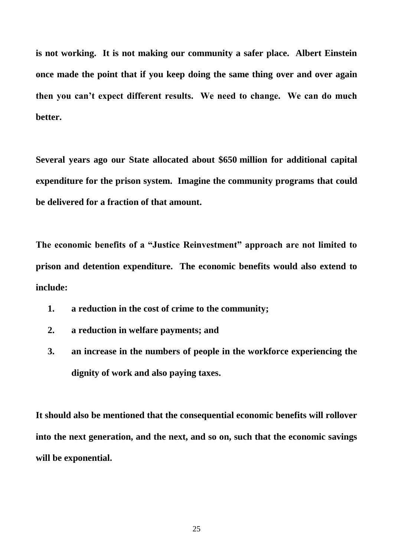**is not working. It is not making our community a safer place. Albert Einstein once made the point that if you keep doing the same thing over and over again then you can't expect different results. We need to change. We can do much better.** 

**Several years ago our State allocated about \$650 million for additional capital expenditure for the prison system. Imagine the community programs that could be delivered for a fraction of that amount.** 

**The economic benefits of a "Justice Reinvestment" approach are not limited to prison and detention expenditure. The economic benefits would also extend to include:** 

- **1. a reduction in the cost of crime to the community;**
- **2. a reduction in welfare payments; and**
- **3. an increase in the numbers of people in the workforce experiencing the dignity of work and also paying taxes.**

**It should also be mentioned that the consequential economic benefits will rollover into the next generation, and the next, and so on, such that the economic savings will be exponential.**